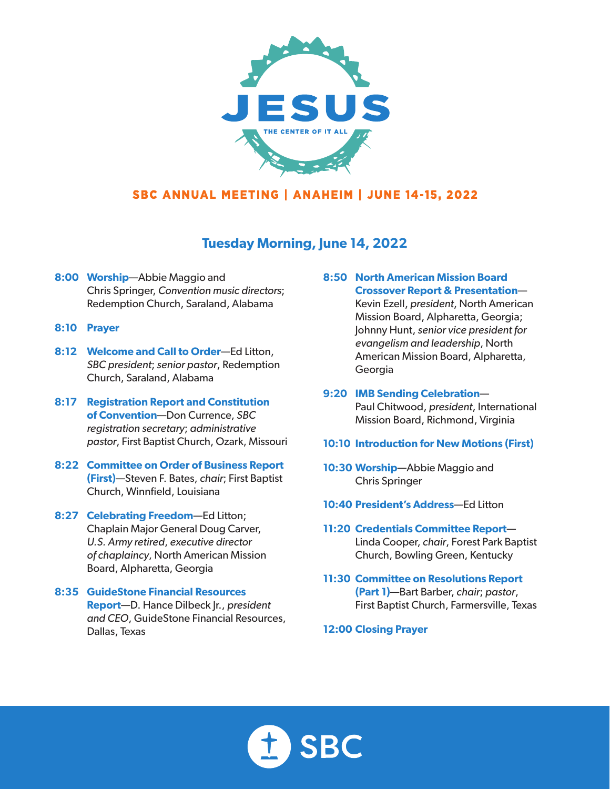

# **Tuesday Morning, June 14, 2022**

- **8:00 Worship**—Abbie Maggio and Chris Springer, *Convention music directors*; Redemption Church, Saraland, Alabama
- **8:10 Prayer**
- **8:12 Welcome and Call to Order**—Ed Litton, *SBC president*; *senior pastor*, Redemption Church, Saraland, Alabama
- **8:17 Registration Report and Constitution of Convention**—Don Currence, *SBC registration secretary*; *administrative pastor*, First Baptist Church, Ozark, Missouri
- **8:22 Committee on Order of Business Report (First)**—Steven F. Bates, *chair*; First Baptist Church, Winnfield, Louisiana
- **8:27 Celebrating Freedom**—Ed Litton; Chaplain Major General Doug Carver, *U.S. Army retired*, *executive director of chaplaincy*, North American Mission Board, Alpharetta, Georgia
- **8:35 GuideStone Financial Resources Report**—D. Hance Dilbeck Jr., *president and CEO*, GuideStone Financial Resources, Dallas, Texas

#### **8:50 North American Mission Board Crossover Report & Presentation**—

Kevin Ezell, *president*, North American Mission Board, Alpharetta, Georgia; Johnny Hunt, *senior vice president for evangelism and leadership*, North American Mission Board, Alpharetta, Georgia

- **9:20 IMB Sending Celebration** Paul Chitwood, *president*, International Mission Board, Richmond, Virginia
- **10:10 Introduction for New Motions (First)**
- **10:30 Worship**—Abbie Maggio and Chris Springer
- **10:40 President's Address**—Ed Litton
- **11:20 Credentials Committee Report** Linda Cooper, *chair*, Forest Park Baptist Church, Bowling Green, Kentucky
- **11:30 Committee on Resolutions Report (Part 1)**—Bart Barber, *chair*; *pastor*, First Baptist Church, Farmersville, Texas

**12:00 Closing Prayer** 

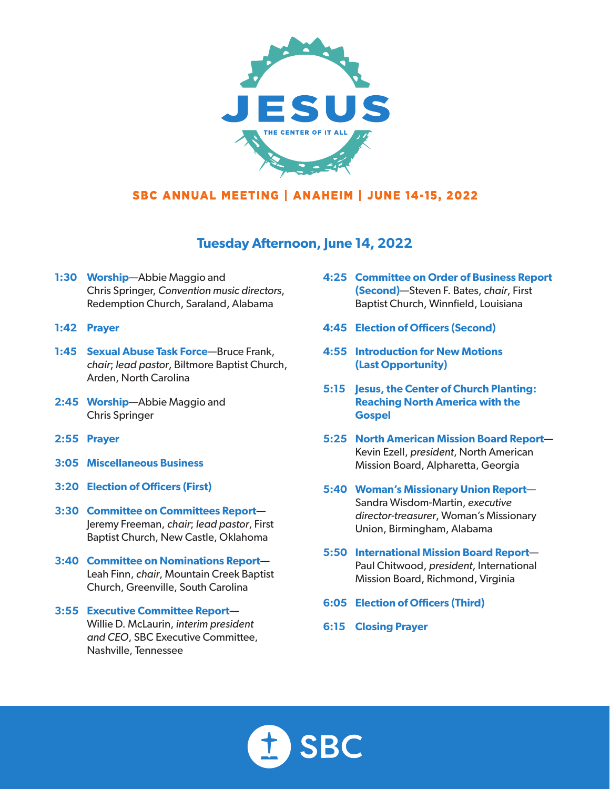

### **Tuesday Afternoon, June 14, 2022**

- **1:30 Worship**—Abbie Maggio and Chris Springer, *Convention music directors*, Redemption Church, Saraland, Alabama
- **1:42 Prayer**
- **1:45 Sexual Abuse Task Force**—Bruce Frank, *chair*; *lead pastor*, Biltmore Baptist Church, Arden, North Carolina
- **2:45 Worship**—Abbie Maggio and Chris Springer
- **2:55 Prayer**
- **3:05 Miscellaneous Business**
- **3:20 Election of Officers (First)**
- **3:30 Committee on Committees Report** Jeremy Freeman, *chair*; *lead pastor*, First Baptist Church, New Castle, Oklahoma
- **3:40 Committee on Nominations Report** Leah Finn, *chair*, Mountain Creek Baptist Church, Greenville, South Carolina
- **3:55 Executive Committee Report** Willie D. McLaurin, *interim president and CEO*, SBC Executive Committee, Nashville, Tennessee
- **4:25 Committee on Order of Business Report (Second)**—Steven F. Bates, *chair*, First Baptist Church, Winnfield, Louisiana
- **4:45 Election of Officers (Second)**
- **4:55 Introduction for New Motions (Last Opportunity)**
- **5:15 Jesus, the Center of Church Planting: Reaching North America with the Gospel**
- **5:25 North American Mission Board Report** Kevin Ezell, *president*, North American Mission Board, Alpharetta, Georgia
- **5:40 Woman's Missionary Union Report** Sandra Wisdom-Martin, *executive director-treasurer*, Woman's Missionary Union, Birmingham, Alabama
- **5:50 International Mission Board Report** Paul Chitwood, *president*, International Mission Board, Richmond, Virginia
- **6:05 Election of Officers (Third)**
- **6:15 Closing Prayer**

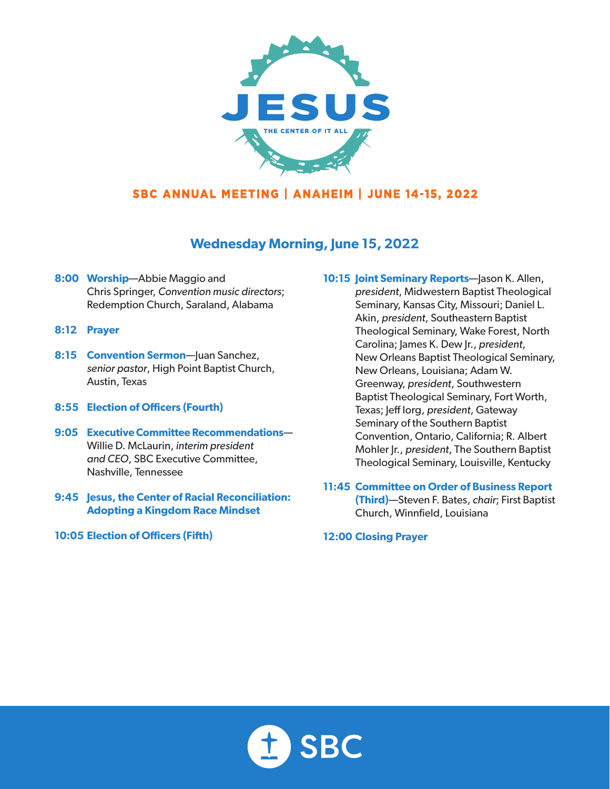

# **Wednesday Morning, June 15, 2022**

- **8:00 Worship**—Abbie Maggio and Chris Springer, *Convention music directors*; Redemption Church, Saraland, Alabama
- **8:12 Prayer**
- **8:15 Convention Sermon**—Juan Sanchez, *senior pastor*, High Point Baptist Church, Austin, Texas
- **8:55 Election of Officers (Fourth)**
- **9:05 Executive Committee Recommendations** Willie D. McLaurin, *interim president and CEO*, SBC Executive Committee, Nashville, Tennessee
- **9:45 Jesus, the Center of Racial Reconciliation: Adopting a Kingdom Race Mindset**
- **10:05 Election of Officers (Fifth)**

**10:15 Joint Seminary Reports**—Jason K. Allen, *president*, Midwestern Baptist Theological Seminary, Kansas City, Missouri; Daniel L. Akin, *president*, Southeastern Baptist Theological Seminary, Wake Forest, North Carolina; James K. Dew Jr., *president*, New Orleans Baptist Theological Seminary, New Orleans, Louisiana; Adam W. Greenway, *president*, Southwestern Baptist Theological Seminary, Fort Worth, Texas; Jeff Iorg, *president*, Gateway Seminary of the Southern Baptist Convention, Ontario, California; R. Albert Mohler Jr., *president*, The Southern Baptist Theological Seminary, Louisville, Kentucky

**11:45 Committee on Order of Business Report (Third)**—Steven F. Bates, *chair*; First Baptist Church, Winnfield, Louisiana

**12:00 Closing Prayer**